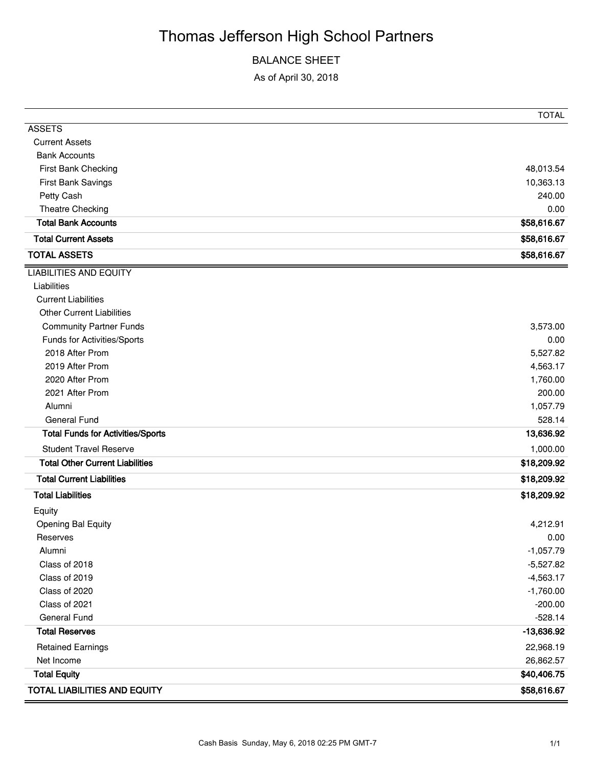# Thomas Jefferson High School Partners

### BALANCE SHEET

As of April 30, 2018

|                                          | <b>TOTAL</b> |
|------------------------------------------|--------------|
| <b>ASSETS</b>                            |              |
| <b>Current Assets</b>                    |              |
| <b>Bank Accounts</b>                     |              |
| First Bank Checking                      | 48,013.54    |
| First Bank Savings                       | 10,363.13    |
| Petty Cash                               | 240.00       |
| Theatre Checking                         | 0.00         |
| <b>Total Bank Accounts</b>               | \$58,616.67  |
| <b>Total Current Assets</b>              | \$58,616.67  |
| <b>TOTAL ASSETS</b>                      | \$58,616.67  |
| <b>LIABILITIES AND EQUITY</b>            |              |
| Liabilities                              |              |
| <b>Current Liabilities</b>               |              |
| <b>Other Current Liabilities</b>         |              |
| <b>Community Partner Funds</b>           | 3,573.00     |
| Funds for Activities/Sports              | 0.00         |
| 2018 After Prom                          | 5,527.82     |
| 2019 After Prom                          | 4,563.17     |
| 2020 After Prom                          | 1,760.00     |
| 2021 After Prom                          | 200.00       |
| Alumni                                   | 1,057.79     |
| <b>General Fund</b>                      | 528.14       |
| <b>Total Funds for Activities/Sports</b> | 13,636.92    |
| <b>Student Travel Reserve</b>            | 1,000.00     |
| <b>Total Other Current Liabilities</b>   | \$18,209.92  |
| <b>Total Current Liabilities</b>         | \$18,209.92  |
| <b>Total Liabilities</b>                 | \$18,209.92  |
| Equity                                   |              |
| Opening Bal Equity                       | 4,212.91     |
| Reserves                                 | 0.00         |
| Alumni                                   | $-1,057.79$  |
| Class of 2018                            | $-5,527.82$  |
| Class of 2019                            | $-4,563.17$  |
| Class of 2020                            | $-1,760.00$  |
| Class of 2021                            | $-200.00$    |
| General Fund                             | $-528.14$    |
| <b>Total Reserves</b>                    | $-13,636.92$ |
| <b>Retained Earnings</b>                 | 22,968.19    |
| Net Income                               | 26,862.57    |
| <b>Total Equity</b>                      | \$40,406.75  |
| <b>TOTAL LIABILITIES AND EQUITY</b>      | \$58,616.67  |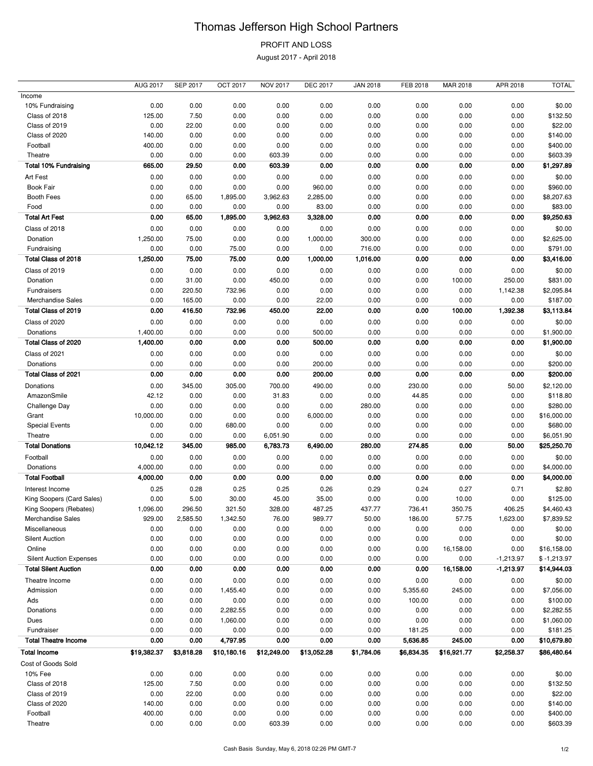# Thomas Jefferson High School Partners

## PROFIT AND LOSS

August 2017 - April 2018

|                                | <b>AUG 2017</b> | <b>SEP 2017</b> | <b>OCT 2017</b> | <b>NOV 2017</b> | <b>DEC 2017</b> | <b>JAN 2018</b> | FEB 2018   | MAR 2018    | APR 2018    | <b>TOTAL</b>  |
|--------------------------------|-----------------|-----------------|-----------------|-----------------|-----------------|-----------------|------------|-------------|-------------|---------------|
| Income                         |                 |                 |                 |                 |                 |                 |            |             |             |               |
| 10% Fundraising                | 0.00            | 0.00            | 0.00            | 0.00            | 0.00            | 0.00            | 0.00       | 0.00        | 0.00        | \$0.00        |
| Class of 2018                  | 125.00          | 7.50            | 0.00            | 0.00            | 0.00            | 0.00            | 0.00       | 0.00        | 0.00        | \$132.50      |
| Class of 2019                  | 0.00            | 22.00           | 0.00            | 0.00            | 0.00            | 0.00            | 0.00       | 0.00        | 0.00        | \$22.00       |
| Class of 2020                  | 140.00          | 0.00            | 0.00            | 0.00            | 0.00            | 0.00            | 0.00       | 0.00        | 0.00        | \$140.00      |
| Football                       | 400.00          | 0.00            | 0.00            | 0.00            | 0.00            | 0.00            | 0.00       | 0.00        | 0.00        | \$400.00      |
| Theatre                        | 0.00            | 0.00            | 0.00            | 603.39          | 0.00            | 0.00            | 0.00       | 0.00        | 0.00        | \$603.39      |
| <b>Total 10% Fundraising</b>   | 665.00          | 29.50           | 0.00            | 603.39          | 0.00            | 0.00            | 0.00       | 0.00        | 0.00        | \$1,297.89    |
| Art Fest                       | 0.00            | 0.00            | 0.00            | 0.00            | 0.00            | 0.00            | 0.00       | 0.00        | 0.00        | \$0.00        |
| <b>Book Fair</b>               | 0.00            | 0.00            | 0.00            | 0.00            | 960.00          | 0.00            | 0.00       | 0.00        | 0.00        | \$960.00      |
| <b>Booth Fees</b>              | 0.00            | 65.00           | 1,895.00        | 3,962.63        | 2,285.00        | 0.00            | 0.00       | 0.00        | 0.00        | \$8,207.63    |
| Food                           | 0.00            | 0.00            | 0.00            | 0.00            | 83.00           | 0.00            | 0.00       | 0.00        | 0.00        | \$83.00       |
| <b>Total Art Fest</b>          | 0.00            | 65.00           | 1,895.00        | 3,962.63        | 3,328.00        | 0.00            | 0.00       | 0.00        | 0.00        | \$9,250.63    |
|                                |                 |                 |                 |                 |                 |                 |            |             |             |               |
| Class of 2018                  | 0.00            | 0.00            | 0.00            | 0.00            | 0.00            | 0.00            | 0.00       | 0.00        | 0.00        | \$0.00        |
| Donation                       | 1,250.00        | 75.00           | 0.00            | 0.00            | 1,000.00        | 300.00          | 0.00       | 0.00        | 0.00        | \$2,625.00    |
| Fundraising                    | 0.00            | 0.00            | 75.00           | 0.00            | 0.00            | 716.00          | 0.00       | 0.00        | 0.00        | \$791.00      |
| Total Class of 2018            | 1,250.00        | 75.00           | 75.00           | 0.00            | 1,000.00        | 1,016.00        | 0.00       | 0.00        | 0.00        | \$3,416.00    |
| Class of 2019                  | 0.00            | 0.00            | 0.00            | 0.00            | 0.00            | 0.00            | 0.00       | 0.00        | 0.00        | \$0.00        |
| Donation                       | 0.00            | 31.00           | 0.00            | 450.00          | 0.00            | 0.00            | 0.00       | 100.00      | 250.00      | \$831.00      |
| Fundraisers                    | 0.00            | 220.50          | 732.96          | 0.00            | 0.00            | 0.00            | 0.00       | 0.00        | 1,142.38    | \$2,095.84    |
| Merchandise Sales              | 0.00            | 165.00          | 0.00            | 0.00            | 22.00           | 0.00            | 0.00       | 0.00        | 0.00        | \$187.00      |
| Total Class of 2019            | 0.00            | 416.50          | 732.96          | 450.00          | 22.00           | 0.00            | 0.00       | 100.00      | 1,392.38    | \$3,113.84    |
| Class of 2020                  | 0.00            | 0.00            | 0.00            | 0.00            | 0.00            | 0.00            | 0.00       | 0.00        | 0.00        | \$0.00        |
| Donations                      | 1,400.00        | 0.00            | 0.00            | 0.00            | 500.00          | 0.00            | 0.00       | 0.00        | 0.00        | \$1,900.00    |
| Total Class of 2020            | 1,400.00        | 0.00            | 0.00            | 0.00            | 500.00          | 0.00            | 0.00       | 0.00        | 0.00        | \$1,900.00    |
| Class of 2021                  | 0.00            | 0.00            | 0.00            | 0.00            | 0.00            | 0.00            | 0.00       | 0.00        | 0.00        | \$0.00        |
| Donations                      | 0.00            | 0.00            | 0.00            | 0.00            | 200.00          | 0.00            | 0.00       | 0.00        | 0.00        | \$200.00      |
| Total Class of 2021            |                 |                 |                 |                 |                 |                 |            |             |             |               |
|                                | 0.00            | 0.00            | 0.00            | 0.00            | 200.00          | 0.00            | 0.00       | 0.00        | 0.00        | \$200.00      |
| <b>Donations</b>               | 0.00            | 345.00          | 305.00          | 700.00          | 490.00          | 0.00            | 230.00     | 0.00        | 50.00       | \$2,120.00    |
| AmazonSmile                    | 42.12           | 0.00            | 0.00            | 31.83           | 0.00            | 0.00            | 44.85      | 0.00        | 0.00        | \$118.80      |
| Challenge Day                  | 0.00            | 0.00            | 0.00            | 0.00            | 0.00            | 280.00          | 0.00       | 0.00        | 0.00        | \$280.00      |
| Grant                          | 10,000.00       | 0.00            | 0.00            | 0.00            | 6,000.00        | 0.00            | 0.00       | 0.00        | 0.00        | \$16,000.00   |
| <b>Special Events</b>          | 0.00            | 0.00            | 680.00          | 0.00            | 0.00            | 0.00            | 0.00       | 0.00        | 0.00        | \$680.00      |
| Theatre                        | 0.00            | 0.00            | 0.00            | 6,051.90        | 0.00            | 0.00            | 0.00       | 0.00        | 0.00        | \$6,051.90    |
| <b>Total Donations</b>         | 10,042.12       | 345.00          | 985.00          | 6,783.73        | 6,490.00        | 280.00          | 274.85     | 0.00        | 50.00       | \$25,250.70   |
| Football                       | 0.00            | 0.00            | 0.00            | 0.00            | 0.00            | 0.00            | 0.00       | 0.00        | 0.00        | \$0.00        |
| Donations                      | 4,000.00        | 0.00            | 0.00            | 0.00            | 0.00            | 0.00            | 0.00       | 0.00        | 0.00        | \$4,000.00    |
| <b>Total Football</b>          | 4,000.00        | 0.00            | 0.00            | 0.00            | 0.00            | 0.00            | 0.00       | 0.00        | 0.00        | \$4,000.00    |
| Interest Income                | 0.25            | 0.28            | 0.25            | 0.25            | 0.26            | 0.29            | 0.24       | 0.27        | 0.71        | \$2.80        |
| King Soopers (Card Sales)      | 0.00            | 5.00            | 30.00           | 45.00           | 35.00           | 0.00            | 0.00       | 10.00       | 0.00        | \$125.00      |
| King Soopers (Rebates)         | 1,096.00        | 296.50          | 321.50          | 328.00          | 487.25          | 437.77          | 736.41     | 350.75      | 406.25      | \$4,460.43    |
| Merchandise Sales              | 929.00          | 2,585.50        | 1,342.50        | 76.00           | 989.77          | 50.00           | 186.00     | 57.75       | 1,623.00    | \$7,839.52    |
| Miscellaneous                  | 0.00            | 0.00            | 0.00            | 0.00            | 0.00            | 0.00            | 0.00       | 0.00        | 0.00        | \$0.00        |
| <b>Silent Auction</b>          | 0.00            | 0.00            | 0.00            | 0.00            | 0.00            | 0.00            | 0.00       | 0.00        | 0.00        | \$0.00        |
| Online                         | 0.00            | 0.00            | 0.00            | 0.00            | 0.00            | 0.00            | 0.00       | 16,158.00   | 0.00        | \$16,158.00   |
| <b>Silent Auction Expenses</b> | 0.00            | 0.00            | 0.00            | 0.00            | 0.00            | 0.00            | 0.00       | 0.00        | $-1,213.97$ | $$ -1,213.97$ |
| <b>Total Silent Auction</b>    | 0.00            | 0.00            | 0.00            | 0.00            | 0.00            | 0.00            | 0.00       | 16,158.00   | $-1,213.97$ | \$14,944.03   |
|                                |                 |                 |                 |                 |                 |                 |            |             |             |               |
| Theatre Income                 | 0.00            | 0.00            | 0.00            | 0.00            | 0.00            | 0.00            | 0.00       | 0.00        | 0.00        | \$0.00        |
| Admission                      | 0.00            | 0.00            | 1,455.40        | 0.00            | 0.00            | 0.00            | 5,355.60   | 245.00      | 0.00        | \$7,056.00    |
| Ads                            | 0.00            | 0.00            | 0.00            | 0.00            | 0.00            | 0.00            | 100.00     | 0.00        | 0.00        | \$100.00      |
| Donations                      | 0.00            | 0.00            | 2,282.55        | 0.00            | 0.00            | 0.00            | 0.00       | 0.00        | 0.00        | \$2,282.55    |
| Dues                           | 0.00            | 0.00            | 1,060.00        | 0.00            | 0.00            | 0.00            | 0.00       | 0.00        | 0.00        | \$1,060.00    |
| Fundraiser                     | 0.00            | 0.00            | 0.00            | 0.00            | 0.00            | 0.00            | 181.25     | 0.00        | 0.00        | \$181.25      |
| <b>Total Theatre Income</b>    | 0.00            | 0.00            | 4,797.95        | 0.00            | 0.00            | 0.00            | 5,636.85   | 245.00      | 0.00        | \$10,679.80   |
| <b>Total Income</b>            | \$19,382.37     | \$3,818.28      | \$10,180.16     | \$12,249.00     | \$13,052.28     | \$1,784.06      | \$6,834.35 | \$16,921.77 | \$2,258.37  | \$86,480.64   |
| Cost of Goods Sold             |                 |                 |                 |                 |                 |                 |            |             |             |               |
| 10% Fee                        | 0.00            | 0.00            | 0.00            | 0.00            | 0.00            | 0.00            | 0.00       | 0.00        | 0.00        | \$0.00        |
| Class of 2018                  | 125.00          | 7.50            | 0.00            | 0.00            | 0.00            | 0.00            | 0.00       | 0.00        | 0.00        | \$132.50      |
| Class of 2019                  | 0.00            | 22.00           | 0.00            | 0.00            | 0.00            | 0.00            | 0.00       | 0.00        | 0.00        | \$22.00       |
| Class of 2020                  | 140.00          | 0.00            | 0.00            | 0.00            | 0.00            | 0.00            | 0.00       | 0.00        | 0.00        | \$140.00      |
| Football                       | 400.00          | 0.00            | 0.00            | 0.00            | 0.00            | 0.00            | 0.00       | 0.00        | 0.00        | \$400.00      |
| Theatre                        | 0.00            | 0.00            | 0.00            | 603.39          | 0.00            | 0.00            | 0.00       | 0.00        | 0.00        | \$603.39      |
|                                |                 |                 |                 |                 |                 |                 |            |             |             |               |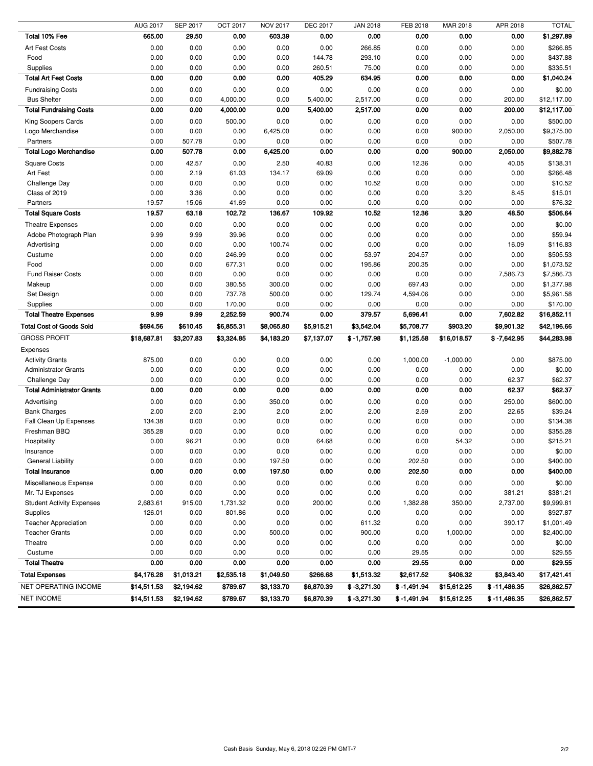|                                   | <b>AUG 2017</b> | <b>SEP 2017</b> | OCT 2017   | <b>NOV 2017</b> | <b>DEC 2017</b> | <b>JAN 2018</b> | FEB 2018      | MAR 2018    | APR 2018       | <b>TOTAL</b> |
|-----------------------------------|-----------------|-----------------|------------|-----------------|-----------------|-----------------|---------------|-------------|----------------|--------------|
| Total 10% Fee                     | 665.00          | 29.50           | 0.00       | 603.39          | 0.00            | 0.00            | 0.00          | 0.00        | 0.00           | \$1,297.89   |
| Art Fest Costs                    | 0.00            | 0.00            | 0.00       | 0.00            | 0.00            | 266.85          | 0.00          | 0.00        | 0.00           | \$266.85     |
| Food                              | 0.00            | 0.00            | 0.00       | 0.00            | 144.78          | 293.10          | 0.00          | 0.00        | 0.00           | \$437.88     |
| Supplies                          | 0.00            | 0.00            | 0.00       | 0.00            | 260.51          | 75.00           | 0.00          | 0.00        | 0.00           | \$335.51     |
| <b>Total Art Fest Costs</b>       | 0.00            | 0.00            | 0.00       | 0.00            | 405.29          | 634.95          | 0.00          | 0.00        | 0.00           | \$1,040.24   |
| <b>Fundraising Costs</b>          | 0.00            | 0.00            | 0.00       | 0.00            | 0.00            | 0.00            | 0.00          | 0.00        | 0.00           | \$0.00       |
| <b>Bus Shelter</b>                | 0.00            | 0.00            | 4,000.00   | 0.00            | 5,400.00        | 2,517.00        | 0.00          | 0.00        | 200.00         | \$12,117.00  |
| <b>Total Fundraising Costs</b>    | 0.00            | 0.00            | 4,000.00   | 0.00            | 5,400.00        | 2,517.00        | 0.00          | 0.00        | 200.00         | \$12,117.00  |
| King Soopers Cards                | 0.00            | 0.00            | 500.00     | 0.00            | 0.00            | 0.00            | 0.00          | 0.00        | 0.00           | \$500.00     |
| Logo Merchandise                  | 0.00            | 0.00            | 0.00       | 6,425.00        | 0.00            | 0.00            | 0.00          | 900.00      | 2,050.00       | \$9,375.00   |
| Partners                          | 0.00            | 507.78          | 0.00       | 0.00            | 0.00            | 0.00            | 0.00          | 0.00        | 0.00           | \$507.78     |
| <b>Total Logo Merchandise</b>     | 0.00            | 507.78          | 0.00       | 6,425.00        | 0.00            | 0.00            | 0.00          | 900.00      | 2,050.00       | \$9,882.78   |
| <b>Square Costs</b>               | 0.00            | 42.57           | 0.00       | 2.50            | 40.83           | 0.00            | 12.36         | 0.00        | 40.05          | \$138.31     |
| Art Fest                          | 0.00            | 2.19            | 61.03      | 134.17          | 69.09           | 0.00            | 0.00          | 0.00        | 0.00           | \$266.48     |
| Challenge Day                     | 0.00            | 0.00            | 0.00       | 0.00            | 0.00            | 10.52           | 0.00          | 0.00        | 0.00           | \$10.52      |
| Class of 2019                     | 0.00            | 3.36            | 0.00       | 0.00            | 0.00            | 0.00            | 0.00          | 3.20        | 8.45           | \$15.01      |
| Partners                          | 19.57           | 15.06           | 41.69      | 0.00            | 0.00            | 0.00            | 0.00          | 0.00        | 0.00           | \$76.32      |
| <b>Total Square Costs</b>         | 19.57           | 63.18           | 102.72     | 136.67          | 109.92          | 10.52           | 12.36         | 3.20        | 48.50          | \$506.64     |
| Theatre Expenses                  | 0.00            | 0.00            | 0.00       | 0.00            | 0.00            | 0.00            | 0.00          | 0.00        | 0.00           | \$0.00       |
| Adobe Photograph Plan             | 9.99            | 9.99            | 39.96      | 0.00            | 0.00            | 0.00            | 0.00          | 0.00        | 0.00           | \$59.94      |
| Advertising                       | 0.00            | 0.00            | 0.00       | 100.74          | 0.00            | 0.00            | 0.00          | 0.00        | 16.09          | \$116.83     |
| Custume                           | 0.00            | 0.00            | 246.99     | 0.00            | 0.00            | 53.97           | 204.57        | 0.00        | 0.00           | \$505.53     |
| Food                              | 0.00            | 0.00            | 677.31     | 0.00            | 0.00            | 195.86          | 200.35        | 0.00        | 0.00           | \$1,073.52   |
| <b>Fund Raiser Costs</b>          | 0.00            | 0.00            | 0.00       | 0.00            | 0.00            | 0.00            | 0.00          | 0.00        | 7,586.73       | \$7,586.73   |
| Makeup                            | 0.00            | 0.00            | 380.55     | 300.00          | 0.00            | 0.00            | 697.43        | 0.00        | 0.00           | \$1,377.98   |
| Set Design                        | 0.00            | 0.00            | 737.78     | 500.00          | 0.00            | 129.74          | 4,594.06      | 0.00        | 0.00           | \$5,961.58   |
| Supplies                          | 0.00            | 0.00            | 170.00     | 0.00            | 0.00            | 0.00            | 0.00          | 0.00        | 0.00           | \$170.00     |
| <b>Total Theatre Expenses</b>     | 9.99            | 9.99            | 2,252.59   | 900.74          | 0.00            | 379.57          | 5,696.41      | 0.00        | 7,602.82       | \$16,852.11  |
| <b>Total Cost of Goods Sold</b>   | \$694.56        | \$610.45        | \$6,855.31 | \$8,065.80      | \$5,915.21      | \$3,542.04      | \$5,708.77    | \$903.20    | \$9,901.32     | \$42,196.66  |
| <b>GROSS PROFIT</b>               |                 |                 |            |                 |                 |                 |               |             |                |              |
|                                   | \$18,687.81     | \$3,207.83      | \$3,324.85 | \$4,183.20      | \$7,137.07      | $$ -1,757.98$   | \$1,125.58    | \$16,018.57 | $$ -7,642.95$  | \$44,283.98  |
| Expenses                          |                 |                 |            |                 |                 |                 |               |             |                |              |
| <b>Activity Grants</b>            | 875.00          | 0.00            | 0.00       | 0.00            | 0.00            | 0.00            | 1,000.00      | $-1,000.00$ | 0.00           | \$875.00     |
| <b>Administrator Grants</b>       | 0.00            | 0.00            | 0.00       | 0.00            | 0.00            | 0.00            | 0.00          | 0.00        | 0.00           | \$0.00       |
| Challenge Day                     | 0.00            | 0.00            | 0.00       | 0.00            | 0.00            | 0.00            | 0.00          | 0.00        | 62.37          | \$62.37      |
| <b>Total Administrator Grants</b> | 0.00            | 0.00            | 0.00       | 0.00            | 0.00            | 0.00            | 0.00          | 0.00        | 62.37          | \$62.37      |
| Advertising                       | 0.00            | 0.00            | 0.00       | 350.00          | 0.00            | 0.00            | 0.00          | 0.00        | 250.00         | \$600.00     |
| <b>Bank Charges</b>               | 2.00            | 2.00            | 2.00       | 2.00            | 2.00            | 2.00            | 2.59          | 2.00        | 22.65          | \$39.24      |
| Fall Clean Up Expenses            | 134.38          | 0.00            | 0.00       | 0.00            | 0.00            | 0.00            | 0.00          | 0.00        | 0.00           | \$134.38     |
| Freshman BBQ                      | 355.28          | 0.00            | 0.00       | 0.00            | 0.00            | 0.00            | 0.00          | 0.00        | 0.00           | \$355.28     |
| Hospitality                       | 0.00            | 96.21           | 0.00       | 0.00            | 64.68           | 0.00            | 0.00          | 54.32       | 0.00           | \$215.21     |
| Insurance                         | 0.00            | 0.00            | 0.00       | 0.00            | 0.00            | 0.00            | 0.00          | 0.00        | 0.00           | \$0.00       |
| <b>General Liability</b>          | 0.00            | 0.00            | 0.00       | 197.50          | 0.00            | 0.00            | 202.50        | 0.00        | 0.00           | \$400.00     |
| <b>Total Insurance</b>            | 0.00            | 0.00            | 0.00       | 197.50          | 0.00            | 0.00            | 202.50        | 0.00        | 0.00           | \$400.00     |
| Miscellaneous Expense             | 0.00            | 0.00            | 0.00       | 0.00            | 0.00            | 0.00            | 0.00          | 0.00        | 0.00           | \$0.00       |
| Mr. TJ Expenses                   | 0.00            | 0.00            | 0.00       | 0.00            | 0.00            | 0.00            | 0.00          | 0.00        | 381.21         | \$381.21     |
| <b>Student Activity Expenses</b>  | 2,683.61        | 915.00          | 1,731.32   | 0.00            | 200.00          | 0.00            | 1,382.88      | 350.00      | 2,737.00       | \$9,999.81   |
| Supplies                          | 126.01          | 0.00            | 801.86     | 0.00            | 0.00            | 0.00            | 0.00          | 0.00        | 0.00           | \$927.87     |
| <b>Teacher Appreciation</b>       | 0.00            | 0.00            | 0.00       | 0.00            | 0.00            | 611.32          | 0.00          | 0.00        | 390.17         | \$1,001.49   |
| <b>Teacher Grants</b>             | 0.00            | 0.00            | 0.00       | 500.00          | 0.00            | 900.00          | 0.00          | 1,000.00    | 0.00           | \$2,400.00   |
| Theatre                           | 0.00            | 0.00            | 0.00       | 0.00            | 0.00            | 0.00            | 0.00          | 0.00        | 0.00           | \$0.00       |
| Custume                           | 0.00            | 0.00            | 0.00       | 0.00            | 0.00            | 0.00            | 29.55         | 0.00        | 0.00           | \$29.55      |
| <b>Total Theatre</b>              | 0.00            | 0.00            | 0.00       | 0.00            | 0.00            | 0.00            | 29.55         | 0.00        | 0.00           | \$29.55      |
| <b>Total Expenses</b>             | \$4,176.28      | \$1,013.21      | \$2,535.18 | \$1,049.50      | \$266.68        | \$1,513.32      | \$2,617.52    | \$406.32    | \$3,843.40     | \$17,421.41  |
| NET OPERATING INCOME              | \$14,511.53     | \$2,194.62      | \$789.67   | \$3,133.70      | \$6,870.39      | $$ -3,271.30$   | $$ -1,491.94$ | \$15,612.25 | $$ -11,486.35$ | \$26,862.57  |
| <b>NET INCOME</b>                 | \$14,511.53     | \$2,194.62      | \$789.67   | \$3,133.70      | \$6,870.39      | $$ -3,271.30$   | $$ -1,491.94$ | \$15,612.25 | $$ -11,486.35$ | \$26,862.57  |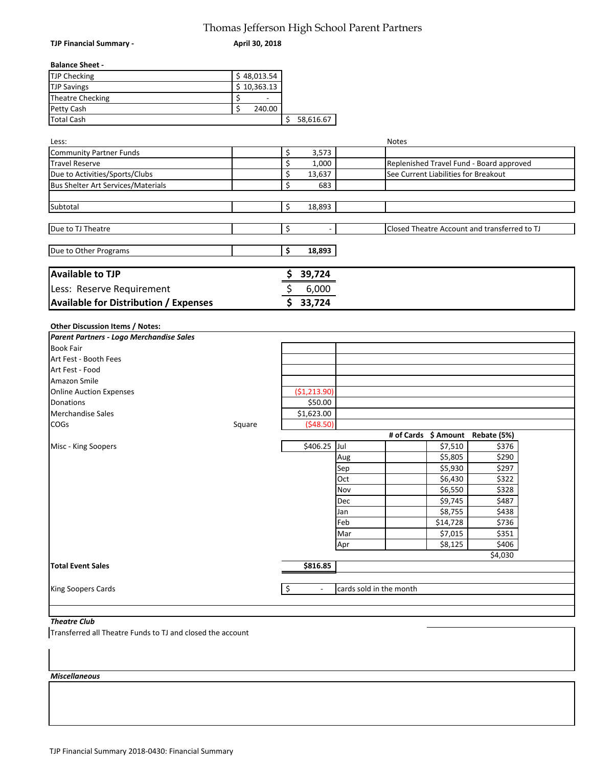## Thomas Jefferson High School Parent Partners

| <b>TJP Financial Summary -</b>                 | April 30, 2018            |                                |                         |              |                                      |                                              |  |
|------------------------------------------------|---------------------------|--------------------------------|-------------------------|--------------|--------------------------------------|----------------------------------------------|--|
| <b>Balance Sheet -</b>                         |                           |                                |                         |              |                                      |                                              |  |
| <b>TJP Checking</b>                            | $\overline{\$}$ 48,013.54 |                                |                         |              |                                      |                                              |  |
| <b>TJP Savings</b>                             | \$10,363.13               |                                |                         |              |                                      |                                              |  |
| <b>Theatre Checking</b>                        | \$<br>$\mathbf{L}$        |                                |                         |              |                                      |                                              |  |
| Petty Cash                                     | \$<br>240.00              |                                |                         |              |                                      |                                              |  |
| <b>Total Cash</b>                              |                           | \$<br>58,616.67                |                         |              |                                      |                                              |  |
|                                                |                           |                                |                         |              |                                      |                                              |  |
| Less:                                          |                           |                                |                         | <b>Notes</b> |                                      |                                              |  |
| <b>Community Partner Funds</b>                 |                           | \$<br>3,573                    |                         |              |                                      |                                              |  |
| <b>Travel Reserve</b>                          |                           | \$<br>1,000                    |                         |              |                                      | Replenished Travel Fund - Board approved     |  |
| Due to Activities/Sports/Clubs                 |                           | \$<br>13,637                   |                         |              | See Current Liabilities for Breakout |                                              |  |
| <b>Bus Shelter Art Services/Materials</b>      |                           | \$<br>683                      |                         |              |                                      |                                              |  |
|                                                |                           |                                |                         |              |                                      |                                              |  |
| Subtotal                                       |                           | \$<br>18,893                   |                         |              |                                      |                                              |  |
|                                                |                           |                                |                         |              |                                      |                                              |  |
| Due to TJ Theatre                              |                           | \$                             |                         |              |                                      | Closed Theatre Account and transferred to TJ |  |
| Due to Other Programs                          |                           | \$<br>18,893                   |                         |              |                                      |                                              |  |
|                                                |                           |                                |                         |              |                                      |                                              |  |
| <b>Available to TJP</b>                        |                           | 39,724                         |                         |              |                                      |                                              |  |
| Less: Reserve Requirement                      |                           | \$<br>6,000                    |                         |              |                                      |                                              |  |
| <b>Available for Distribution / Expenses</b>   |                           | \$33,724                       |                         |              |                                      |                                              |  |
|                                                |                           |                                |                         |              |                                      |                                              |  |
| Other Discussion Items / Notes:                |                           |                                |                         |              |                                      |                                              |  |
| Parent Partners - Logo Merchandise Sales       |                           |                                |                         |              |                                      |                                              |  |
| <b>Book Fair</b>                               |                           |                                |                         |              |                                      |                                              |  |
| Art Fest - Booth Fees                          |                           |                                |                         |              |                                      |                                              |  |
| Art Fest - Food                                |                           |                                |                         |              |                                      |                                              |  |
| Amazon Smile<br><b>Online Auction Expenses</b> |                           | (\$1,213.90)                   |                         |              |                                      |                                              |  |
| Donations                                      |                           | \$50.00                        |                         |              |                                      |                                              |  |
| <b>Merchandise Sales</b>                       |                           | \$1,623.00                     |                         |              |                                      |                                              |  |
| <b>COGs</b>                                    | Square                    | (548.50)                       |                         |              |                                      |                                              |  |
|                                                |                           |                                |                         |              |                                      | # of Cards \$ Amount Rebate (5%)             |  |
| Misc - King Soopers                            |                           | \$406.25 Jul                   |                         |              | \$7,510                              | \$376                                        |  |
|                                                |                           |                                | Aug                     |              | \$5,805                              | \$290                                        |  |
|                                                |                           |                                | Sep                     |              | \$5,930                              | \$297                                        |  |
|                                                |                           |                                | Oct                     |              | \$6,430                              | \$322                                        |  |
|                                                |                           |                                | Nov                     |              | \$6,550                              | \$328                                        |  |
|                                                |                           |                                | Dec                     |              | \$9,745                              | \$487                                        |  |
|                                                |                           |                                | Jan                     |              | \$8,755                              | \$438                                        |  |
|                                                |                           |                                | Feb                     |              | \$14,728                             | \$736                                        |  |
|                                                |                           |                                | Mar                     |              | \$7,015                              | \$351                                        |  |
|                                                |                           |                                | Apr                     |              | \$8,125                              | \$406                                        |  |
|                                                |                           |                                |                         |              |                                      | \$4,030                                      |  |
| <b>Total Event Sales</b>                       |                           | \$816.85                       |                         |              |                                      |                                              |  |
|                                                |                           |                                |                         |              |                                      |                                              |  |
| King Soopers Cards                             |                           | \$<br>$\overline{\phantom{a}}$ | cards sold in the month |              |                                      |                                              |  |
|                                                |                           |                                |                         |              |                                      |                                              |  |

### *Theatre Club*

Transferred all Theatre Funds to TJ and closed the account

#### *Miscellaneous*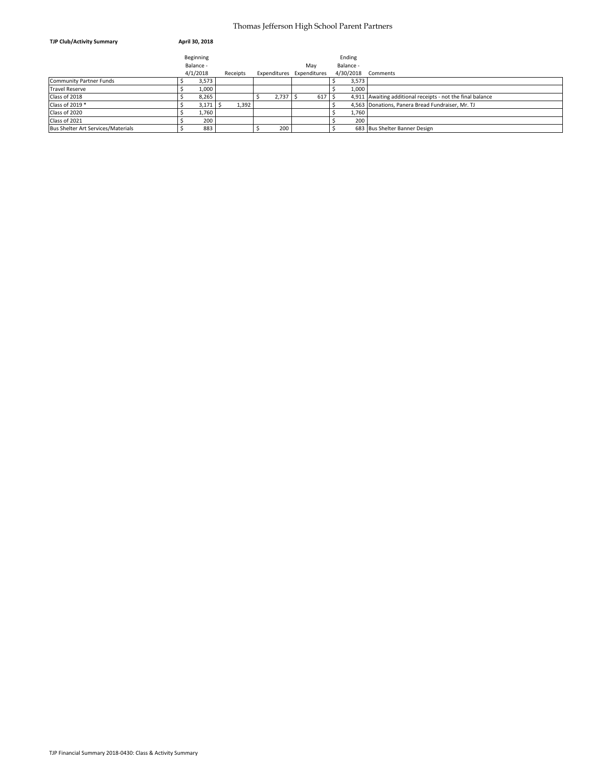#### Thomas Jefferson High School Parent Partners

| <b>TJP Club/Activity Summary</b>   | April 30, 2018 |          |       |                           |      |           |                                                            |
|------------------------------------|----------------|----------|-------|---------------------------|------|-----------|------------------------------------------------------------|
|                                    | Beginning      |          |       |                           |      | Ending    |                                                            |
|                                    | Balance -      |          |       | May                       |      | Balance - |                                                            |
|                                    | 4/1/2018       | Receipts |       | Expenditures Expenditures |      | 4/30/2018 | Comments                                                   |
| Community Partner Funds            | 3,573          |          |       |                           |      | 3,573     |                                                            |
| <b>Travel Reserve</b>              | 1,000          |          |       |                           |      | 1,000     |                                                            |
| Class of 2018                      | 8,265          |          | 2,737 |                           | 617S |           | 4,911 Awaiting additional receipts - not the final balance |
| Class of 2019 *                    | 3,171          | 1,392    |       |                           |      |           | 4,563 Donations, Panera Bread Fundraiser, Mr. TJ           |
| Class of 2020                      | 1,760          |          |       |                           |      | 1,760     |                                                            |
| Class of 2021                      | 200            |          |       |                           |      | 200       |                                                            |
| Bus Shelter Art Services/Materials | 883            |          | 200   |                           |      |           | 683 Bus Shelter Banner Design                              |